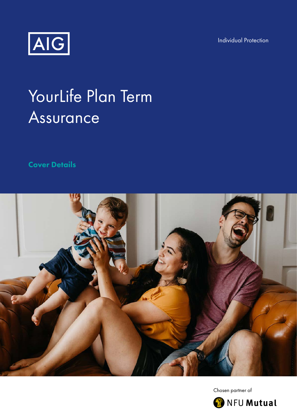Individual Protection



# YourLife Plan Term Assurance

Cover Details



Chosen partner of

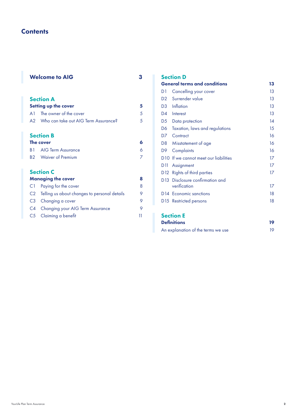# **Contents**

|                | <b>Welcome to AIG</b>                           |    |
|----------------|-------------------------------------------------|----|
|                | <b>Section A</b><br><b>Setting up the cover</b> | 5  |
| A <sub>1</sub> | The owner of the cover                          | 5  |
| A2             | Who can take out AIG Term Assurance?            | 5  |
|                | <b>Section B</b>                                |    |
| The cover      |                                                 | 6  |
| B 1            | AIG Term Assurance                              | 6  |
| B2 -           | <b>Waiver of Premium</b>                        | 7  |
|                | <b>Section C</b>                                |    |
|                | <b>Managing the cover</b>                       | 8  |
| C1             | Paying for the cover                            | 8  |
| C2             | Telling us about changes to personal details    | 9  |
| C3             | Changing a cover                                | 9  |
|                | C4 Changing your AIG Term Assurance             | 9  |
| C5             | Claiming a benefit                              | 11 |

## Section D

| <b>General terms and conditions</b> | 13                                          |    |
|-------------------------------------|---------------------------------------------|----|
| D1                                  | Cancelling your cover                       | 13 |
| D <sub>2</sub>                      | Surrender value                             | 13 |
| D <sub>3</sub>                      | Inflation                                   | 13 |
| D4                                  | Interest                                    | 13 |
| D5                                  | Data protection                             | 14 |
| D6                                  | Taxation, laws and regulations              | 15 |
| D7                                  | Contract                                    | 16 |
| D8                                  | Misstatement of age                         | 16 |
| D9                                  | Complaints                                  | 16 |
|                                     | D10 If we cannot meet our liabilities       | 17 |
| DIJ                                 | Assignment                                  | 17 |
|                                     | D12 Rights of third parties                 | 17 |
|                                     | D <sub>13</sub> Disclosure confirmation and |    |
|                                     | verification                                | 17 |
|                                     | D <sub>14</sub> Economic sanctions          | 18 |
|                                     | D15 Restricted persons                      | 18 |

## Section E

| <b>Definitions</b>                 | 19 |
|------------------------------------|----|
| An explanation of the terms we use |    |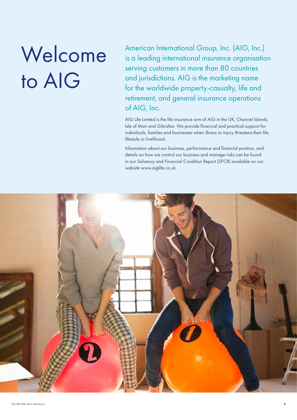# Welcome to AIG

American International Group, Inc. (AIG, Inc.) is a leading international insurance organisation serving customers in more than 80 countries and jurisdictions. AIG is the marketing name for the worldwide property-casualty, life and retirement, and general insurance operations of AIG, Inc.

AIG Life Limited is the life insurance arm of AIG in the UK, Channel Islands, Isle of Man and Gibraltar. We provide financial and practical support for individuals, families and businesses when illness or injury threatens their life, lifestyle or livelihood.

Information about our business, performance and financial position, and details on how we control our business and manage risks can be found in our Solvency and Financial Condition Report (SFCR) available on our website www.aiglife.co.uk.

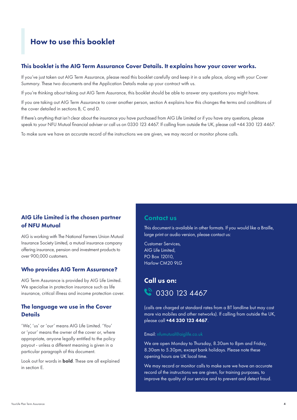# How to use this booklet

## This booklet is the AIG Term Assurance Cover Details. It explains how your cover works.

If you've just taken out AIG Term Assurance, please read this booklet carefully and keep it in a safe place, along with your Cover Summary. These two documents and the Application Details make up your contract with us.

If you're thinking about taking out AIG Term Assurance, this booklet should be able to answer any questions you might have.

If you are taking out AIG Term Assurance to cover another person, section A explains how this changes the terms and conditions of the cover detailed in sections B, C and D.

If there's anything that isn't clear about the insurance you have purchased from AIG Life Limited or if you have any questions, please speak to your NFU Mutual financial adviser or call us on 0330 123 4467. If calling from outside the UK, please call +44 330 123 4467.

To make sure we have an accurate record of the instructions we are given, we may record or monitor phone calls.

## AIG Life Limited is the chosen partner of NFU Mutual

AIG is working with The National Farmers Union Mutual Insurance Society Limited, a mutual insurance company offering insurance, pension and investment products to over 900,000 customers.

## Who provides AIG Term Assurance?

AIG Term Assurance is provided by AIG Life Limited. We specialise in protection insurance such as life insurance, critical illness and income protection cover.

## The language we use in the Cover **Details**

'We', 'us' or 'our' means AIG Life Limited. 'You' or 'your' means the owner of the cover or, where appropriate, anyone legally entitled to the policy payout - unless a different meaning is given in a particular paragraph of this document.

Look out for words in **bold**. These are all explained in section E.

## Contact us

This document is available in other formats. If you would like a Braille, large print or audio version, please contact us:

Customer Services, AIG Life Limited, PO Box 12010, Harlow CM20 9LG

## Call us on:



(calls are charged at standard rates from a BT landline but may cost more via mobiles and other networks). If calling from outside the UK, please call +44 330 123 4467.

#### Email: nfumutual@aiglife.co.uk

We are open Monday to Thursday, 8.30am to 8pm and Friday, 8.30am to 5.30pm, except bank holidays. Please note these opening hours are UK local time.

We may record or monitor calls to make sure we have an accurate record of the instructions we are given, for training purposes, to improve the quality of our service and to prevent and detect fraud.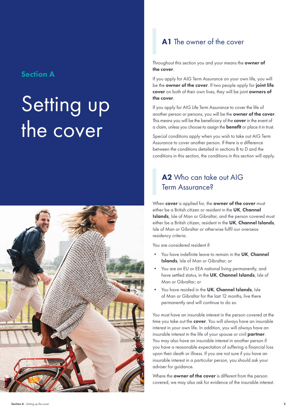## Section A

# Setting up the cover



# A1 The owner of the cover

Throughout this section you and your means the owner of the cover.

If you apply for AIG Term Assurance on your own life, you will be the **owner of the cover**. If two people apply for **joint life** cover on both of their own lives, they will be joint owners of the cover.

If you apply for AIG Life Term Assurance to cover the life of another person or persons, you will be the **owner of the cover**. This means you will be the beneficiary of the **cover** in the event of a claim, unless you choose to assign the **benefit** or place it in trust.

Special conditions apply when you wish to take out AIG Term Assurance to cover another person. If there is a difference between the conditions detailed in sections B to D and the conditions in this section, the conditions in this section will apply.

# A2 Who can take out AIG Term Assurance?

When cover is applied for, the owner of the cover must either be a British citizen or resident in the UK, Channel Islands, Isle of Man or Gibraltar, and the person covered must either be a British citizen, resident in the UK, Channel Islands, Isle of Man or Gibraltar or otherwise fulfil our overseas residency criteria.

You are considered resident if:

- You have indefinite leave to remain in the UK, Channel Islands, Isle of Man or Gibraltar; or
- You are an EU or EEA national living permanently, and have settled status, in the UK, Channel Islands, Isle of Man or Gibraltar; or
- You have resided in the UK, Channel Islands, Isle of Man or Gibraltar for the last 12 months, live there permanently and will continue to do so.

You must have an insurable interest in the person covered at the time you take out the **cover**. You will always have an insurable interest in your own life. In addition, you will always have an insurable interest in the life of your spouse or civil partner. You may also have an insurable interest in another person if you have a reasonable expectation of suffering a financial loss upon their death or illness. If you are not sure if you have an insurable interest in a particular person, you should ask your adviser for guidance.

Where the **owner of the cover** is different from the person covered, we may also ask for evidence of the insurable interest.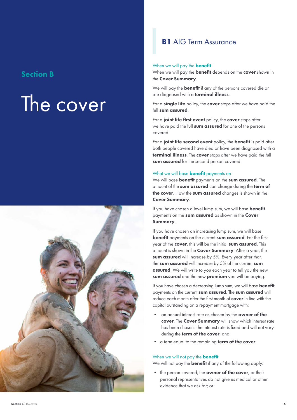## Section B

# The cover



## **B1** AIG Term Assurance

#### When we will pay the **benefit**

When we will pay the **benefit** depends on the **cover** shown in the Cover Summary.

We will pay the **benefit** if any of the persons covered die or are diagnosed with a **terminal illness**.

For a **single life** policy, the **cover** stops after we have paid the full sum assured.

For a joint life first event policy, the cover stops after we have paid the full sum assured for one of the persons covered.

For a joint life second event policy, the benefit is paid after both people covered have died or have been diagnosed with a terminal illness. The cover stops after we have paid the full sum assured for the second person covered.

#### What we will base **benefit** payments on

We will base **benefit** payments on the sum assured. The amount of the sum assured can change during the term of the cover. How the sum assured changes is shown in the Cover Summary.

If you have chosen a level lump sum, we will base **benefit** payments on the sum assured as shown in the Cover Summary.

If you have chosen an increasing lump sum, we will base benefit payments on the current sum assured. For the first year of the cover, this will be the initial sum assured. This amount is shown in the **Cover Summary**. After a year, the sum assured will increase by 5%. Every year after that, the sum assured will increase by 5% of the current sum assured. We will write to you each year to tell you the new sum assured and the new premium you will be paying.

If you have chosen a decreasing lump sum, we will base **benefit** payments on the current sum assured. The sum assured will reduce each month after the first month of **cover** in line with the capital outstanding on a repayment mortgage with:

- an annual interest rate as chosen by the **owner of the** cover. The Cover Summary will show which interest rate has been chosen. The interest rate is fixed and will not vary during the term of the cover; and
- a term equal to the remaining term of the cover.

#### When we will not pay the **benefit**

We will not pay the **benefit** if any of the following apply:

• the person covered, the **owner of the cover**, or their personal representatives do not give us medical or other evidence that we ask for; or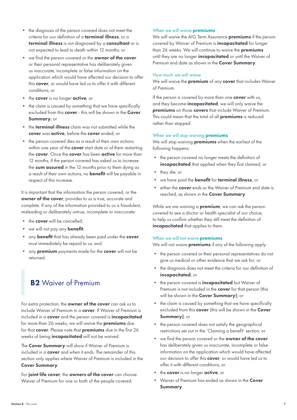- • the diagnosis of the person covered does not meet the criteria for our definition of a terminal illness, or a terminal illness is not diagnosed by a consultant or is not expected to lead to death within 12 months; or
- we find the person covered or the **owner of the cover** or their personal representative has deliberately given us inaccurate, incomplete or false information on the application which would have affected our decision to offer this **cover**, or would have led us to offer it with different conditions; or
- the cover is no longer active; or
- the claim is caused by something that we have specifically excluded from this cover - this will be shown in the Cover Summary: or
- the **terminal illness** claim was not submitted while the cover was active, before the cover ended; or
- the person covered dies as a result of their own actions within one year of the **cover** start date or of them restarting the cover. Once the cover has been active for more than 12 months, if the person covered has asked us to increase the sum assured in the 12 months prior to them dying as a result of their own actions, no **benefit** will be payable in respect of this increase.

It is important that the information the person covered, or the owner of the cover, provides to us is true, accurate and complete. If any of the information provided to us is fraudulent, misleading or deliberately untrue, incomplete or inaccurate:

- the cover will be cancelled;
- we will not pay any **benefit**;
- any **benefit** that has already been paid under the cover must immediately be repaid to us; and
- any **premium** payments made for the **cover** will not be returned.

# **B2** Waiver of Premium

For extra protection, the **owner of the cover** can ask us to include Waiver of Premium in a cover. If Waiver of Premium is included in a cover and the person covered is *incapacitated* for more than 26 weeks, we will waive the premiums due for that cover. Please note that premiums due in the first 26 weeks of being *incapacitated* will not be waived.

The Cover Summary will show if Waiver of Premium is included in a cover and when it ends. The remainder of this section only applies where Waiver of Premium is included in the Cover Summary.

For joint life cover, the owners of the cover can choose Waiver of Premium for one or both of the people covered.

## When we will waive **premiums**

We will waive the AIG Term Assurance **premiums** if the person covered by Waiver of Premium is incapacitated for longer than 26 weeks. We will continue to waive the **premiums** until they are no longer incapacitated or until the Waiver of Premium end date as shown in the Cover Summary.

### How much we will waive

We will waive the **premium** of any **cover** that includes Waiver of Premium.

If the person is covered by more than one **cover** with us, and they become **incapacitated**, we will only waive the premiums on those covers that include Waiver of Premium. This could mean that the total of all **premiums** is reduced rather than stopped.

## When we will stop waiving **premiums**

We will stop waiving **premiums** when the earliest of the following happens:

- • the person covered no longer meets the definition of incapacitated that applied when they first claimed; or
- they die; or
- we have paid the **benefit** for terminal illness; or
- either the **cover** ends or the Waiver of Premium end date is reached, as shown in the Cover Summary.

While we are waiving a **premium**, we can ask the person covered to see a doctor or health specialist of our choice, to help us confirm whether they still meet the definition of incapacitated that applies to them.

## When we will not waive **premiums**

We will not waive **premiums** if any of the following apply:

- • the person covered or their personal representatives do not give us medical or other evidence that we ask for; or
- • the diagnosis does not meet the criteria for our definition of incapacitated; or
- the person covered is **incapacitated** but Waiver of Premium is not included in the **cover** for that person (this will be shown in the **Cover Summary**); or
- • the claim is caused by something that we have specifically excluded from this cover (this will be shown in the Cover Summary); or
- • the person covered does not satisfy the geographical restrictions set out in the 'Claiming a benefit' section; or
- we find the person covered or the **owner of the cover** has deliberately given us inaccurate, incomplete or false information on the application which would have affected our decision to offer this **cover**, or would have led us to offer it with different conditions; or
- the cover is no longer active; or
- Waiver of Premium has ended as shown in the Cover Summary.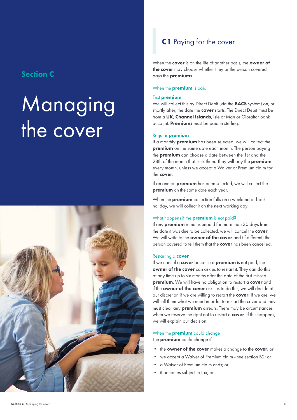## Section C

# Managing the cover



# C1 Paying for the cover

When the cover is on the life of another basis, the owner of the cover may choose whether they or the person covered pays the premiums.

### When the **premium** is paid

#### First premium

We will collect this by Direct Debit (via the **BACS** system) on, or shortly after, the date the **cover** starts. The Direct Debit must be from a UK, Channel Islands, Isle of Man or Gibraltar bank account. Premiums must be paid in sterling.

#### Regular premium

If a monthly premium has been selected, we will collect the **premium** on the same date each month. The person paying the premium can choose a date between the 1st and the 28th of the month that suits them. They will pay the **premium** every month, unless we accept a Waiver of Premium claim for the cover.

If an annual **premium** has been selected, we will collect the premium on the same date each year.

When the **premium** collection falls on a weekend or bank holiday, we will collect it on the next working day.

## What happens if the **premium** is not paid?

If any **premium** remains unpaid for more than 30 days from the date it was due to be collected, we will cancel the cover. We will write to the **owner of the cover** and (if different) the person covered to tell them that the **cover** has been cancelled.

#### Restarting a cover

If we cancel a **cover** because a **premium** is not paid, the owner of the cover can ask us to restart it. They can do this at any time up to six months after the date of the first missed premium. We will have no obligation to restart a cover and if the **owner of the cover** asks us to do this, we will decide at our discretion if we are willing to restart the cover. If we are, we will tell them what we need in order to restart the cover and they must clear any **premium** arrears. There may be circumstances when we reserve the right not to restart a **cover**. If this happens, we will explain our decision.

#### When the **premium** could change

The **premium** could change if:

- the owner of the cover makes a change to the cover; or
- we accept a Waiver of Premium claim see section B2; or
- a Waiver of Premium claim ends; or
- it becomes subject to tax; or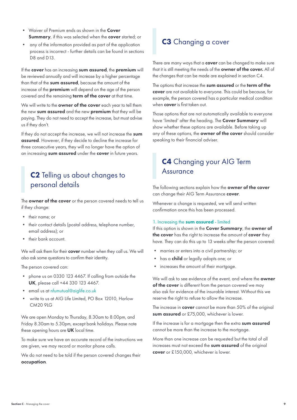- Waiver of Premium ends as shown in the Cover Summary, if this was selected when the cover started; or
- any of the information provided as part of the application process is incorrect - further details can be found in sections D<sub>8</sub> and D<sub>13</sub>.

If the cover has an increasing sum assured, the premium will be reviewed annually and will increase by a higher percentage than that of the sum assured, because the amount of the increase of the premium will depend on the age of the person covered and the remaining **term of the cover** at that time.

We will write to the **owner of the cover** each year to tell them the new sum assured and the new premium that they will be paying. They do not need to accept the increase, but must advise us if they don't.

If they do not accept the increase, we will not increase the sum assured. However, if they decide to decline the increase for three consecutive years, they will no longer have the option of an increasing sum assured under the cover in future years.

# C2 Telling us about changes to personal details

The **owner of the cover** or the person covered needs to tell us if they change:

- their name; or
- their contact details (postal address, telephone number, email address); or
- their bank account.

We will ask them for their cover number when they call us. We will also ask some questions to confirm their identity.

The person covered can:

- • phone us on 0330 123 4467. If calling from outside the UK, please call +44 330 123 4467.
- email us at nfumutual@aiglife.co.uk
- write to us at AIG Life Limited, PO Box 12010, Harlow CM20 9LG

We are open Monday to Thursday, 8.30am to 8.00pm, and Friday 8.30am to 5.30pm, except bank holidays. Please note these opening hours are **UK** local time.

To make sure we have an accurate record of the instructions we are given, we may record or monitor phone calls.

We do not need to be told if the person covered changes their occupation.

# C<sub>3</sub> Changing a cover

There are many ways that a **cover** can be changed to make sure that it is still meeting the needs of the **owner of the cover.** All of the changes that can be made are explained in section C4.

The options that increase the sum assured or the term of the cover are not available to everyone. This could be because, for example, the person covered has a particular medical condition when **cover** is first taken out.

Those options that are not automatically available to everyone have 'limited' after the heading. The Cover Summary will show whether these options are available. Before taking up any of these options, the owner of the cover should consider speaking to their financial adviser.

# C4 Changing your AIG Term **Assurance**

The following sections explain how the owner of the cover can change their AIG Term Assurance cover.

Whenever a change is requested, we will send written confirmation once this has been processed.

#### 1. Increasing the sum assured - limited

If this option is shown in the Cover Summary, the owner of the cover has the right to increase the amount of cover they have. They can do this up to 13 weeks after the person covered:

- marries or enters into a civil partnership; or
- has a **child** or legally adopts one; or
- $\bullet$ • increases the amount of their mortgage.

We will ask to see evidence of the event, and where the **owner** of the cover is different from the person covered we may also ask for evidence of the insurable interest. Without this we reserve the right to refuse to allow the increase.

The increase in **cover** cannot be more than 50% of the original sum assured or £75,000, whichever is lower.

If the increase is for a mortgage then the extra sum assured cannot be more than the increase to the mortgage.

More than one increase can be requested but the total of all increases must not exceed the sum assured of the original cover or £150,000, whichever is lower.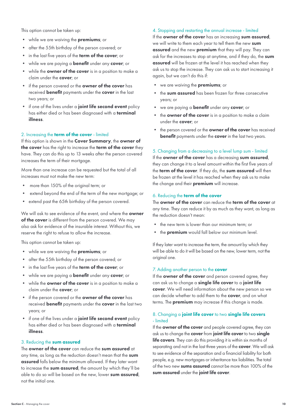This option cannot be taken up:

- while we are waiving the **premiums**; or
- after the 55th birthday of the person covered; or
- in the last five years of the **term of the cover**; or
- while we are paying a **benefit** under any **cover**; or
- while the **owner of the cover** is in a position to make a claim under the cover; or
- if the person covered or the **owner of the cover** has received **benefit** payments under the **cover** in the last two years; or
- if one of the lives under a **joint life second event** policy has either died or has been diagnosed with a **terminal** illness.

#### 2. Increasing the term of the cover - limited

If this option is shown in the Cover Summary, the owner of the cover has the right to increase the term of the cover they have. They can do this up to 13 weeks after the person covered increases the term of their mortgage.

More than one increase can be requested but the total of all increases must not make the new term:

- more than 150% of the original term; or
- extend beyond the end of the term of the new mortgage; or
- extend past the 65th birthday of the person covered.

We will ask to see evidence of the event, and where the **owner** of the cover is different from the person covered. We may also ask for evidence of the insurable interest. Without this, we reserve the right to refuse to allow the increase.

This option cannot be taken up:

- while we are waiving the **premiums**; or
- after the 55th birthday of the person covered; or
- in the last five years of the **term of the cover**; or
- while we are paying a **benefit** under any cover; or
- while the **owner of the cover** is in a position to make a claim under the cover; or
- if the person covered or the **owner of the cover** has received **benefit** payments under the **cover** in the last two years; or
- if one of the lives under a joint life second event policy has either died or has been diagnosed with a **terminal** illness.

## 3. Reducing the sum assured

The **owner of the cover** can reduce the **sum assured** at any time, as long as the reduction doesn't mean that the sum assured falls below the minimum allowed. If they later want to increase the sum assured, the amount by which they'll be able to do so will be based on the new, lower sum assured, not the initial one.

## 4. Stopping and restarting the annual increase - limited

If the owner of the cover has an increasing sum assured, we will write to them each year to tell them the new sum assured and the new premium that they will pay. They can ask for the increases to stop at anytime, and if they do, the sum assured will be frozen at the level it has reached when they ask us to stop the increase. They can ask us to start increasing it again, but we can't do this if:

- we are waiving the **premiums**; or
- the sum assured has been frozen for three consecutive years; or
- we are paying a **benefit** under any **cover**; or
- the **owner of the cover** is in a position to make a claim under the **cover**; or
- the person covered or the **owner of the cover** has received **benefit** payments under the **cover** in the last two years.

## 5. Changing from a decreasing to a level lump sum - limited

If the owner of the cover has a decreasing sum assured, they can change it to a level amount within the first five years of the term of the cover. If they do, the sum assured will then be frozen at the level it has reached when they ask us to make the change and their **premium** will increase.

#### 6. Reducing the term of the cover

The owner of the cover can reduce the term of the cover at any time. They can reduce it by as much as they want, as long as the reduction doesn't mean:

- the new term is lower than our minimum term; or
- the **premium** would fall below our minimum level.

If they later want to increase the term, the amount by which they will be able to do it will be based on the new, lower term, not the original one.

#### 7. Adding another person to the cover

If the **owner of the cover** and person covered agree, they can ask us to change a single life cover to a joint life cover. We will need information about the new person so we can decide whether to add them to the **cover**, and on what terms. The **premium** may increase if this change is made.

## 8. Changing a joint life cover to two single life covers - limited

If the **owner of the cover** and people covered agree, they can ask us to change the cover from joint life cover to two single life covers. They can do this providing it is within six months of separating and not in the last three years of the cover. We will ask to see evidence of the separation and a financial liability for both people, e.g. new mortgages or inheritance tax liabilities. The total of the two new sums assured cannot be more than 100% of the sum assured under the joint life cover.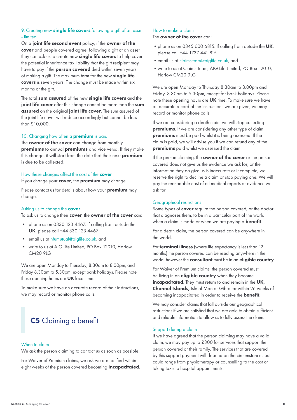## 9. Creating new single life covers following a gift of an asset - limited

On a joint life second event policy, if the owner of the cover and people covered agree, following a gift of an asset, they can ask us to create new single life covers to help cover the potential inheritance tax liability that the gift recipient may have to pay if the **person covered** died within seven years of making a gift. The maximum term for the new single life covers is seven years. The change must be made within six months of the gift.

The total sum assured of the new single life covers and the joint life cover after this change cannot be more than the sum assured on the original joint life cover. The sum assured of the joint life cover will reduce accordingly but cannot be less than £10,000.

#### 10. Changing how often a **premium** is paid

The **owner of the cover** can change from monthly premiums to annual premiums and vice versa. If they make this change, it will start from the date that their next premium is due to be collected.

## How these changes affect the cost of the cover

If you change your cover, the premium may change.

Please contact us for details about how your **premium** may change.

#### Asking us to change the **cover**

To ask us to change their cover, the owner of the cover can:

- • phone us on 0330 123 4467. If calling from outside the UK, please call +44 330 123 4467;
- email us at nfumutual@aiglife.co.uk, and
- write to us at AIG Life Limited, PO Box 12010, Harlow CM20 9LG

We are open Monday to Thursday, 8.30am to 8.00pm, and Friday 8.30am to 5.30pm, except bank holidays. Please note these opening hours are UK local time.

To make sure we have an accurate record of their instructions, we may record or monitor phone calls.

# C5 Claiming a benefit

#### When to claim

We ask the person claiming to contact us as soon as possible.

For Waiver of Premium claims, we ask we are notified within eight weeks of the person covered becoming **incapacitated**.

## How to make a claim

The **owner of the cover** can:

- phone us on 0345 600 6815. If calling from outside the UK, please call +44 1737 441 815.
- •email us at claimsteam@aiglife.co.uk, and
- •write to us at Claims Team, AIG Life Limited, PO Box 12010, Harlow CM20 9LG

We are open Monday to Thursday 8.30am to 8.00pm and Friday, 8.30am to 5.30pm, except for bank holidays. Please note these opening hours are UK time. To make sure we have an accurate record of the instructions we are given, we may record or monitor phone calls.

If we are considering a death claim we will stop collecting premiums. If we are considering any other type of claim, premiums must be paid whilst it is being assessed. If the claim is paid, we will advise you if we can refund any of the premiums paid whilst we assessed the claim.

If the person claiming, the owner of the cover or the person covered does not give us the evidence we ask for, or the information they do give us is inaccurate or incomplete, we reserve the right to decline a claim or stop paying one. We will pay the reasonable cost of all medical reports or evidence we ask for.

#### Geographical restrictions

Some types of **cover** require the person covered, or the doctor that diagnoses them, to be in a particular part of the world when a claim is made or when we are paying a **benefit**.

For a death claim, the person covered can be anywhere in the world.

For **terminal illness** (where life expectancy is less than 12 months) the person covered can be residing anywhere in the world, however the **consultant** must be in an **eligible country**.

For Waiver of Premium claims, the person covered must be living in an **eligible country** when they become incapacitated. They must return to and remain in the UK, Channel Islands, Isle of Man or Gibraltar within 26 weeks of becoming incapacitated in order to receive the benefit.

We may consider claims that fall outside our geographical restrictions if we are satisfied that we are able to obtain sufficient and reliable information to allow us to fully assess the claim.

#### Support during a claim

If we have agreed that the person claiming may have a valid claim, we may pay up to £300 for services that support the person covered or their family. The services that are covered by this support payment will depend on the circumstances but could range from physiotherapy or counselling to the cost of taking taxis to hospital appointments.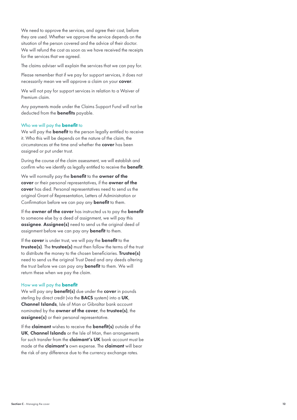situation of the person covered and the advice of their doctor. We need to approve the services, and agree their cost, before they are used. Whether we approve the service depends on the We will refund the cost as soon as we have received the receipts for the services that we agreed.

The claims adviser will explain the services that we can pay for.

Please remember that if we pay for support services, it does not necessarily mean we will approve a claim on your cover.

We will not pay for support services in relation to a Waiver of Premium claim.

Any payments made under the Claims Support Fund will not be deducted from the benefits payable.

#### Who we will pay the **benefit** to

We will pay the **benefit** to the person legally entitled to receive it. Who this will be depends on the nature of the claim, the circumstances at the time and whether the cover has been assigned or put under trust.

During the course of the claim assessment, we will establish and confirm who we identify as legally entitled to receive the **benefit**.

We will normally pay the **benefit** to the **owner of the** cover or their personal representatives, if the owner of the cover has died. Personal representatives need to send us the original Grant of Representation, Letters of Administration or Confirmation before we can pay any benefit to them.

If the owner of the cover has instructed us to pay the benefit to someone else by a deed of assignment, we will pay this assignee. Assignee(s) need to send us the original deed of assignment before we can pay any **benefit** to them.

 need to send us the original Trust Deed and any deeds altering If the cover is under trust, we will pay the **benefit** to the trustee(s). The trustee(s) must then follow the terms of the trust to distribute the money to the chosen beneficiaries. Trustee(s) the trust before we can pay any **benefit** to them. We will return these when we pay the claim.

#### How we will pay the benefit

We will pay any **benefit(s)** due under the **cover** in pounds sterling by direct credit (via the **BACS** system) into a UK, Channel Islands, Isle of Man or Gibraltar bank account nominated by the owner of the cover, the trustee(s), the assignee(s) or their personal representative.

If the **claimant** wishes to receive the **benefit(s)** outside of the UK, Channel Islands or the Isle of Man, then arrangements for such transfer from the **claimant's UK** bank account must be made at the claimant's own expense. The claimant will bear the risk of any difference due to the currency exchange rates.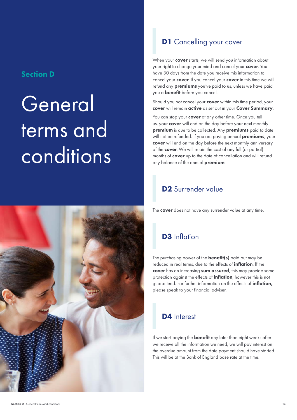## Section D

# General terms and **conditions**



# **D1** Cancelling your cover

When your **cover** starts, we will send you information about your right to change your mind and cancel your cover. You have 30 days from the date you receive this information to cancel your cover. If you cancel your cover in this time we will refund any **premiums** you've paid to us, unless we have paid you a benefit before you cancel.

Should you not cancel your **cover** within this time period, your cover will remain active as set out in your Cover Summary.

You can stop your **cover** at any other time. Once you tell us, your **cover** will end on the day before your next monthly premium is due to be collected. Any premiums paid to date will not be refunded. If you are paying annual **premiums**, your cover will end on the day before the next monthly anniversary of the cover. We will retain the cost of any full (or partial) months of cover up to the date of cancellation and will refund any balance of the annual premium.

# D<sub>2</sub> Surrender value

The cover does not have any surrender value at any time.

# **D3** Inflation

The purchasing power of the **benefit(s)** paid out may be reduced in real terms, due to the effects of *inflation*. If the cover has an increasing sum assured, this may provide some protection against the effects of **inflation**, however this is not guaranteed. For further information on the effects of inflation, please speak to your financial adviser.

# D4 Interest

If we start paying the **benefit** any later than eight weeks after we receive all the information we need, we will pay interest on the overdue amount from the date payment should have started. This will be at the Bank of England base rate at the time.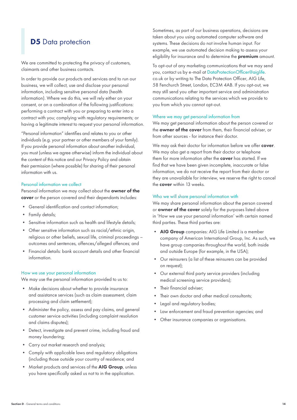# **D5** Data protection

We are committed to protecting the privacy of customers, claimants and other business contacts.

In order to provide our products and services and to run our business, we will collect, use and disclose your personal information, including sensitive personal data (health information). Where we do this, we will rely either on your consent, or on a combination of the following justifications: performing a contract with you or preparing to enter into a contract with you; complying with regulatory requirements; or having a legitimate interest to request your personal information.

"Personal information" identifies and relates to you or other individuals (e.g. your partner or other members of your family). If you provide personal information about another individual, you must (unless we agree otherwise) inform the individual about the content of this notice and our Privacy Policy and obtain their permission (where possible) for sharing of their personal information with us.

#### Personal information we collect

Personal information we may collect about the **owner of the** cover or the person covered and their dependants includes:

- General identification and contact information;
- Family details;
- Sensitive information such as health and lifestyle details;
- • Other sensitive information such as racial/ethnic origin, religious or other beliefs, sexual life, criminal proceedings – outcomes and sentences, offences/alleged offences; and
- Financial details: bank account details and other financial information.

#### How we use your personal information

We may use the personal information provided to us to:

- • Make decisions about whether to provide insurance and assistance services (such as claim assessment, claim processing and claim settlement);
- • Administer the policy, assess and pay claims, and general customer service activities (including complaint resolution and claims disputes);
- Detect, investigate and prevent crime, including fraud and money laundering;
- Carry out market research and analysis;
- • Comply with applicable laws and regulatory obligations (including those outside your country of residence; and
- Market products and services of the AIG Group, unless you have specifically asked us not to in the application.

Sometimes, as part of our business operations, decisions are taken about you using automated computer software and systems. These decisions do not involve human input. For example, we use automated decision making to assess your eligibility for insurance and to determine the **premium** amount.

To opt-out of any marketing communications that we may send you, contact us by e-mail at DataProtectionOfficer@aiglife. co.uk or by writing to The Data Protection Officer, AIG Life, 58 Fenchurch Street, London, EC3M 4AB. If you opt-out, we may still send you other important service and administration communications relating to the services which we provide to you from which you cannot opt-out.

#### Where we may get personal information from

We may get personal information about the person covered or the owner of the cover from them, their financial adviser, or from other sources - for instance their doctor.

We may ask their doctor for information before we offer cover. We may also get a report from their doctor or telephone them for more information after the **cover** has started. If we find that we have been given incomplete, inaccurate or false information, we do not receive the report from their doctor or they are unavailable for interview, we reserve the right to cancel the cover within 13 weeks.

#### Who we will share personal information with

We may share personal information about the person covered or owner of the cover solely for the purposes listed above in 'How we use your personal information' with certain named third parties. These third parties are:

- AIG Group companies: AIG Life Limited is a member company of American International Group, Inc. As such, we have group companies throughout the world, both inside and outside Europe (for example, in the USA);
- • Our reinsurers (a list of these reinsurers can be provided on request);
- • Our external third party service providers (including medical screening service providers);
- Their financial adviser:
- Their own doctor and other medical consultants;
- Legal and regulatory bodies;
- Law enforcement and fraud prevention agencies; and
- Other insurance companies or organisations.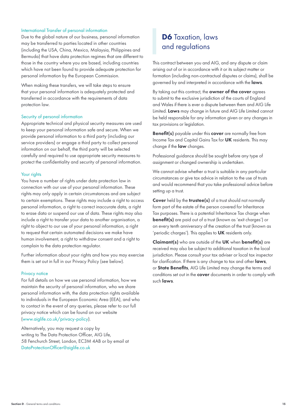## International Transfer of personal information

Due to the global nature of our business, personal information may be transferred to parties located in other countries (including the USA, China, Mexico, Malaysia, Philippines and Bermuda) that have data protection regimes that are different to those in the country where you are based, including countries which have not been found to provide adequate protection for personal information by the European Commission.

When making these transfers, we will take steps to ensure that your personal information is adequately protected and transferred in accordance with the requirements of data protection law.

#### Security of personal information

Appropriate technical and physical security measures are used to keep your personal information safe and secure. When we provide personal information to a third party (including our service providers) or engage a third party to collect personal information on our behalf, the third party will be selected carefully and required to use appropriate security measures to protect the confidentiality and security of personal information.

#### Your rights

You have a number of rights under data protection law in connection with our use of your personal information. These rights may only apply in certain circumstances and are subject to certain exemptions. These rights may include a right to access personal information, a right to correct inaccurate data, a right to erase data or suspend our use of data. These rights may also include a right to transfer your data to another organisation, a right to object to our use of your personal information, a right to request that certain automated decisions we make have human involvement, a right to withdraw consent and a right to complain to the data protection regulator.

Further information about your rights and how you may exercise them is set out in full in our Privacy Policy (see below).

#### Privacy notice

For full details on how we use personal information, how we maintain the security of personal information, who we share personal information with, the data protection rights available to individuals in the European Economic Area (EEA), and who to contact in the event of any queries, please refer to our full privacy notice which can be found on our website (www.aiglife.co.uk/privacy-policy).

Alternatively, you may request a copy by writing to The Data Protection Officer, AIG Life, 58 Fenchurch Street, London, EC3M 4AB or by email at DataProtectionOfficer@aiglife.co.uk

# D6 Taxation, laws and regulations

This contract between you and AIG, and any dispute or claim arising out of or in accordance with it or its subject matter or formation (including non-contractual disputes or claims), shall be governed by and interpreted in accordance with the laws.

By taking out this contract, the **owner of the cover** agrees to submit to the exclusive jurisdiction of the courts of England and Wales if there is ever a dispute between them and AIG Life Limited. Laws may change in future and AIG Life Limited cannot be held responsible for any information given or any changes in tax provisions or legislation.

Benefit(s) payable under this cover are normally free from Income Tax and Capital Gains Tax for UK residents. This may change if the **law** changes.

Professional guidance should be sought before any type of assignment or changed ownership is undertaken.

We cannot advise whether a trust is suitable in any particular circumstances or give tax advice in relation to the use of trusts and would recommend that you take professional advice before setting up a trust.

Cover held by the trustee(s) of a trust should not normally form part of the estate of the person covered for Inheritance Tax purposes. There is a potential Inheritance Tax charge when benefit(s) are paid out of a trust (known as 'exit charges') or on every tenth anniversary of the creation of the trust (known as 'periodic charges'). This applies to UK residents only.

Claimant(s) who are outside of the UK when benefit(s) are received may also be subject to additional taxation in the local jurisdiction. Please consult your tax adviser or local tax inspector for clarification. If there is any change to tax and other laws, or State Benefits, AIG Life Limited may change the terms and conditions set out in the **cover** documents in order to comply with such laws.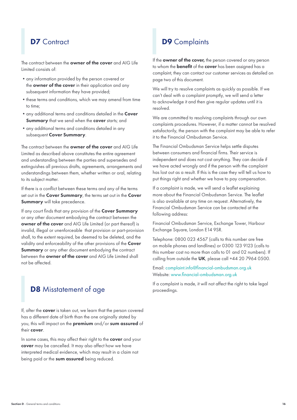# **D7** Contract

The contract between the **owner of the cover** and AIG Life Limited consists of:

- any information provided by the person covered or the **owner of the cover** in their application and any subsequent information they have provided;
- these terms and conditions, which we may amend from time to time;
- any additional terms and conditions detailed in the Cover **Summary** that we send when the **cover** starts; and
- any additional terms and conditions detailed in any subsequent Cover Summary.

The contract between the **owner of the cover** and AIG Life Limited as described above constitutes the entire agreement and understanding between the parties and supersedes and extinguishes all previous drafts, agreements, arrangements and understandings between them, whether written or oral, relating to its subject matter.

If there is a conflict between these terms and any of the terms set out in the Cover Summary, the terms set out in the Cover Summary will take precedence.

If any court finds that any provision of the Cover Summary or any other document embodying the contract between the owner of the cover and AIG Life Limited (or part thereof) is invalid, illegal or unenforceable that provision or part-provision shall, to the extent required, be deemed to be deleted, and the validity and enforceability of the other provisions of the Cover Summary or any other document embodying the contract between the owner of the cover and AIG Life Limited shall not be affected.

# D8 Misstatement of age

If, after the **cover** is taken out, we learn that the person covered has a different date of birth than the one originally stated by you, this will impact on the premium and/or sum assured of their cover.

In some cases, this may affect their right to the cover and your cover may be cancelled. It may also affect how we have interpreted medical evidence, which may result in a claim not being paid or the sum assured being reduced.

# D9 Complaints

If the **owner of the cover**, the person covered or any person to whom the **benefit** of the **cover** has been assigned has a complaint, they can contact our customer services as detailed on page two of this document.

We will try to resolve complaints as quickly as possible. If we can't deal with a complaint promptly, we will send a letter to acknowledge it and then give regular updates until it is resolved.

We are committed to resolving complaints through our own complaints procedures. However, if a matter cannot be resolved satisfactorily, the person with the complaint may be able to refer it to the Financial Ombudsman Service.

The Financial Ombudsman Service helps settle disputes between consumers and financial firms. Their service is independent and does not cost anything. They can decide if we have acted wrongly and if the person with the complaint has lost out as a result. If this is the case they will tell us how to put things right and whether we have to pay compensation.

If a complaint is made, we will send a leaflet explaining more about the Financial Ombudsman Service. The leaflet is also available at any time on request. Alternatively, the Financial Ombudsman Service can be contacted at the following address:

Financial Ombudsman Service, Exchange Tower, Harbour Exchange Square, London E14 9SR.

Telephone: 0800 023 4567 (calls to this number are free on mobile phones and landlines) or 0300 123 9123 (calls to this number cost no more than calls to 01 and 02 numbers). If calling from outside the UK, please call +44 20 7964 0500.

Email: complaint.info@financial-ombudsman.org.uk Website: www.financial-ombudsman.org.uk

If a complaint is made, it will not affect the right to take legal proceedings.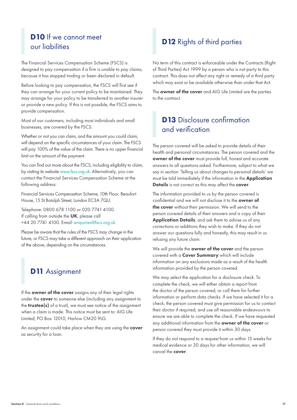# D<sub>10</sub> If we cannot meet our liabilities

The Financial Services Compensation Scheme (FSCS) is designed to pay compensation if a firm is unable to pay claims, because it has stopped trading or been declared in default.

Before looking to pay compensation, the FSCS will first see if they can arrange for your current policy to be maintained. They may arrange for your policy to be transferred to another insurer or provide a new policy. If this is not possible, the FSCS aims to provide compensation.

Most of our customers, including most individuals and small businesses, are covered by the FSCS.

Whether or not you can claim, and the amount you could claim, will depend on the specific circumstances of your claim. The FSCS will pay 100% of the value of the claim. There is no upper financial limit on the amount of the payment.

You can find out more about the FSCS, including eligibility to claim, by visiting its website www.fscs.org.uk. Alternatively, you can contact the Financial Services Compensation Scheme at the following address:

Financial Services Compensation Scheme, 10th Floor, Beaufort House, 15 St Botolph Street, London EC3A 7QU.

Telephone: 0800 678 1100 or 020 7741 4100. If calling from outside the UK, please call +44 20 7741 4100. Email: enquiries@fscs.org.uk

Please be aware that the rules of the FSCS may change in the future, or FSCS may take a different approach on their application of the above, depending on the circumstances.

# **D11** Assignment

If the **owner of the cover** assigns any of their legal rights under the cover to someone else (including any assignment to the **trustee(s)** of a trust), we must see notice of the assignment when a claim is made. This notice must be sent to: AIG Life Limited, PO Box 12010, Harlow CM20 9LG.

An assignment could take place when they are using the cover as security for a loan.

# D<sub>12</sub> Rights of third parties

No term of this contract is enforceable under the Contracts (Right of Third Parties) Act 1999 by a person who is not party to this contract. This does not affect any right or remedy of a third party which may exist or be available otherwise than under that Act.

The **owner of the cover** and AIG Life Limited are the parties to the contract.

# D13 Disclosure confirmation and verification

The person covered will be asked to provide details of their health and personal circumstances. The person covered and the owner of the cover must provide full, honest and accurate answers to all questions asked. Furthermore, subject to what we say in section 'Telling us about changes to personal details' we must be told immediately if the information in the Application Details is not correct as this may affect the cover.

The information provided to us by the person covered is confidential and we will not disclose it to the owner of the cover without their permission. We will send to the person covered details of their answers and a copy of their Application Details, and ask them to advise us of any corrections or additions they wish to make. If they do not answer our questions fully and honestly, this may result in us refusing any future claim.

We will provide the **owner of the cover** and the person covered with a Cover Summary which will include information on any exclusions made as a result of the health information provided by the person covered.

We may select the application for a disclosure check. To complete the check, we will either obtain a report from the doctor of the person covered, or call them for further information or perform data checks. If we have selected it for a check, the person covered must give permission for us to contact their doctor if required, and use all reasonable endeavours to ensure we are able to complete the check. If we have requested any additional information from the owner of the cover or person covered they must provide it within 30 days.

If they do not respond to a request from us within 13 weeks for medical evidence or 30 days for other information, we will cancel the cover.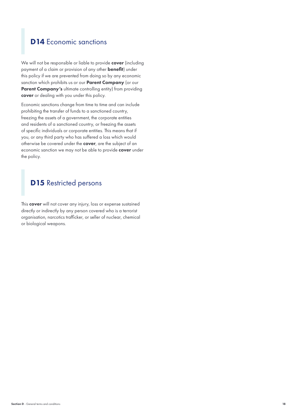# **D14** Economic sanctions

We will not be responsible or liable to provide cover (including payment of a claim or provision of any other benefit) under this policy if we are prevented from doing so by any economic sanction which prohibits us or our **Parent Company** (or our Parent Company's ultimate controlling entity) from providing cover or dealing with you under this policy.

Economic sanctions change from time to time and can include prohibiting the transfer of funds to a sanctioned country, freezing the assets of a government, the corporate entities and residents of a sanctioned country, or freezing the assets of specific individuals or corporate entities. This means that if you, or any third party who has suffered a loss which would otherwise be covered under the cover, are the subject of an economic sanction we may not be able to provide cover under the policy.

# **D15** Restricted persons

This cover will not cover any injury, loss or expense sustained directly or indirectly by any person covered who is a terrorist organisation, narcotics trafficker, or seller of nuclear, chemical or biological weapons.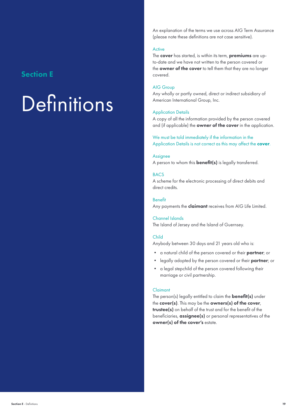## Section E

# **Definitions**

An explanation of the terms we use across AIG Term Assurance (please note these definitions are not case sensitive).

## Active

The cover has started, is within its term, premiums are upto-date and we have not written to the person covered or the **owner of the cover** to tell them that they are no longer covered.

## AIG Group

Any wholly or partly owned, direct or indirect subsidiary of American International Group, Inc.

#### Application Details

A copy of all the information provided by the person covered and (if applicable) the **owner of the cover** in the application.

We must be told immediately if the information in the Application Details is not correct as this may affect the cover.

#### Assignee

A person to whom this **benefit(s)** is legally transferred.

#### **BACS**

A scheme for the electronic processing of direct debits and direct credits.

Benefit Any payments the **claimant** receives from AIG Life Limited.

#### Channel Islands

The Island of Jersey and the Island of Guernsey.

### Child

Anybody between 30 days and 21 years old who is:

- a natural child of the person covered or their **partner**; or
- legally adopted by the person covered or their **partner**; or
- • a legal stepchild of the person covered following their marriage or civil partnership.

#### Claimant

The person(s) legally entitled to claim the **benefit(s)** under the cover(s). This may be the owners(s) of the cover, trustee(s) on behalf of the trust and for the benefit of the beneficiaries, assignee(s) or personal representatives of the owner(s) of the cover's estate.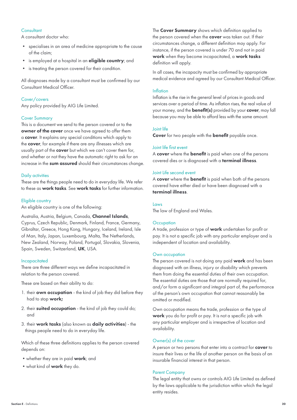## **Consultant**

A consultant doctor who:

- • specialises in an area of medicine appropriate to the cause of the claim;
- is employed at a hospital in an **eligible country**; and
- is treating the person covered for their condition.

All diagnoses made by a consultant must be confirmed by our Consultant Medical Officer.

## Cover/covers

Any policy provided by AIG Life Limited.

#### Cover Summary

This is a document we send to the person covered or to the owner of the cover once we have agreed to offer them a cover. It explains any special conditions which apply to the cover, for example if there are any illnesses which are usually part of the **cover** but which we can't cover them for, and whether or not they have the automatic right to ask for an increase in the sum assured should their circumstances change.

#### Daily activities

These are the things people need to do in everyday life. We refer to these as work tasks. See work tasks for further information.

#### Eligible country

An eligible country is one of the following:

#### Australia, Austria, Belgium, Canada, Channel Islands,

Cyprus, Czech Republic, Denmark, Finland, France, Germany, Gibraltar, Greece, Hong Kong, Hungary, Iceland, Ireland, Isle of Man, Italy, Japan, Luxembourg, Malta, The Netherlands, New Zealand, Norway, Poland, Portugal, Slovakia, Slovenia, Spain, Sweden, Switzerland, UK, USA.

#### Incapacitated

There are three different ways we define incapacitated in relation to the person covered.

These are based on their ability to do:

- 1. their **own occupation** the kind of job they did before they had to stop work;
- 2. their suited occupation the kind of job they could do; and
- 3. their work tasks (also known as daily activities) the things people need to do in everyday life.

Which of these three definitions applies to the person covered depends on:

- whether they are in paid work; and
- what kind of **work** they do.

The **Cover Summary** shows which definition applied to the person covered when the **cover** was taken out. If their circumstances change, a different definition may apply. For instance, if the person covered is under 70 and not in paid work when they become incapacitated, a work tasks definition will apply.

In all cases, the incapacity must be confirmed by appropriate medical evidence and agreed by our Consultant Medical Officer.

#### Inflation

Inflation is the rise in the general level of prices in goods and services over a period of time. As inflation rises, the real value of your money, and the **benefit(s)** provided by your cover, may fall because you may be able to afford less with the same amount.

#### Joint life

Cover for two people with the **benefit** payable once.

#### Joint life first event

A cover where the benefit is paid when one of the persons covered dies or is diagnosed with a terminal illness.

#### Joint Life second event

A cover where the benefit is paid when both of the persons covered have either died or have been diagnosed with a terminal illness.

#### Laws

The law of England and Wales.

#### **Occupation**

A trade, profession or type of work undertaken for profit or pay. It is not a specific job with any particular employer and is independent of location and availability.

#### Own occupation

The person covered is not doing any paid work and has been diagnosed with an illness, injury or disability which prevents them from doing the essential duties of their own occupation. The essential duties are those that are normally required for, and/or form a significant and integral part of, the performance of the person's own occupation that cannot reasonably be omitted or modified.

Own occupation means the trade, profession or the type of work you do for profit or pay. It is not a specific job with any particular employer and is irrespective of location and availability.

### Owner(s) of the cover

A person or two persons that enter into a contract for **cover** to insure their lives or the life of another person on the basis of an insurable financial interest in that person.

#### Parent Company

The legal entity that owns or controls AIG Life Limited as defined by the laws applicable to the jurisdiction within which the legal entity resides.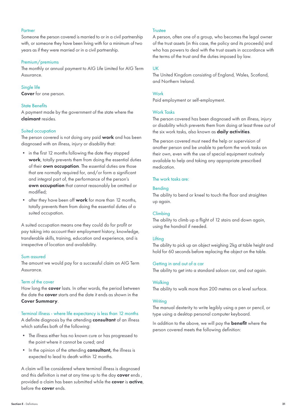#### Partner

Someone the person covered is married to or in a civil partnership with, or someone they have been living with for a minimum of two years as if they were married or in a civil partnership.

#### Premium/premiums

The monthly or annual payment to AIG Life Limited for AIG Term Assurance.

#### Single life

Cover for one person.

#### State Benefits

A payment made by the government of the state where the claimant resides.

#### Suited occupation

The person covered is not doing any paid work and has been diagnosed with an illness, injury or disability that:

- • in the first 12 months following the date they stopped work, totally prevents them from doing the essential duties of their own occupation. The essential duties are those that are normally required for, and/or form a significant and integral part of, the performance of the person's own occupation that cannot reasonably be omitted or modified;
- after they have been off work for more than 12 months, totally prevents them from doing the essential duties of a suited occupation.

A suited occupation means one they could do for profit or pay taking into account their employment history, knowledge, transferable skills, training, education and experience, and is irrespective of location and availability.

#### Sum assured

The amount we would pay for a successful claim on AIG Term Assurance.

### Term of the cover

How long the **cover** lasts. In other words, the period between the date the **cover** starts and the date it ends as shown in the Cover Summary.

Terminal illness - where life expectancy is less than 12 months A definite diagnosis by the attending **consultant** of an illness which satisfies both of the following:

- The illness either has no known cure or has progressed to the point where it cannot be cured; and
- In the opinion of the attending **consultant**, the illness is expected to lead to death within 12 months.

A claim will be considered where terminal illness is diagnosed and this definition is met at any time up to the day cover ends, provided a claim has been submitted while the cover is active, before the cover ends.

#### **Trustee**

A person, often one of a group, who becomes the legal owner of the trust assets (in this case, the policy and its proceeds) and who has powers to deal with the trust assets in accordance with the terms of the trust and the duties imposed by law.

#### UK

The United Kingdom consisting of England, Wales, Scotland, and Northern Ireland.

#### **Work**

Paid employment or self-employment.

#### Work Tasks

The person covered has been diagnosed with an illness, injury or disability which prevents them from doing at least three out of the six work tasks, also known as daily activities.

The person covered must need the help or supervision of another person and be unable to perform the work tasks on their own, even with the use of special equipment routinely available to help and taking any appropriate prescribed medication.

#### The work tasks are:

#### Bending

The ability to bend or kneel to touch the floor and straighten up again.

#### Climbing

The ability to climb up a flight of 12 stairs and down again, using the handrail if needed.

#### Lifting

The ability to pick up an object weighing 2kg at table height and hold for 60 seconds before replacing the object on the table.

#### Getting in and out of a car

The ability to get into a standard saloon car, and out again.

#### Walking

The ability to walk more than 200 metres on a level surface.

#### **Writing**

The manual dexterity to write legibly using a pen or pencil, or type using a desktop personal computer keyboard.

In addition to the above, we will pay the **benefit** where the person covered meets the following definition: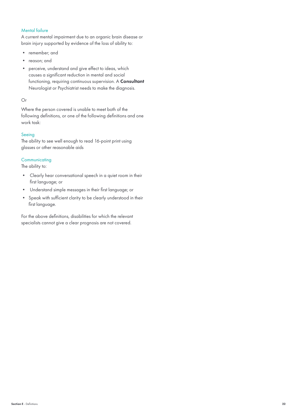## Mental failure

A current mental impairment due to an organic brain disease or brain injury supported by evidence of the loss of ability to:

- • remember; and
- • reason; and
- • perceive, understand and give effect to ideas, which causes a significant reduction in mental and social functioning, requiring continuous supervision. A Consultant Neurologist or Psychiatrist needs to make the diagnosis.

#### Or

Where the person covered is unable to meet both of the following definitions, or one of the following definitions and one work task:

#### Seeing

The ability to see well enough to read 16-point print using glasses or other reasonable aids

### **Communicating**

The ability to:

- Clearly hear conversational speech in a quiet room in their first language; or
- • Understand simple messages in their first language; or
- • Speak with sufficient clarity to be clearly understood in their first language.

For the above definitions, disabilities for which the relevant specialists cannot give a clear prognosis are not covered.